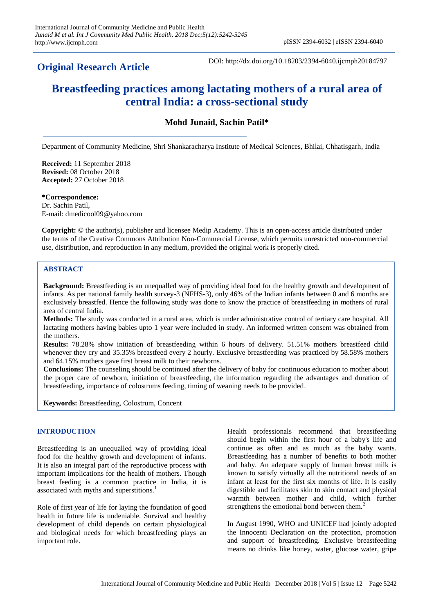## **Original Research Article**

DOI: http://dx.doi.org/10.18203/2394-6040.ijcmph20184797

# **Breastfeeding practices among lactating mothers of a rural area of central India: a cross-sectional study**

**Mohd Junaid, Sachin Patil\***

Department of Community Medicine, Shri Shankaracharya Institute of Medical Sciences, Bhilai, Chhatisgarh, India

**Received:** 11 September 2018 **Revised:** 08 October 2018 **Accepted:** 27 October 2018

**\*Correspondence:** Dr. Sachin Patil, E-mail: dmedicool09@yahoo.com

**Copyright:** © the author(s), publisher and licensee Medip Academy. This is an open-access article distributed under the terms of the Creative Commons Attribution Non-Commercial License, which permits unrestricted non-commercial use, distribution, and reproduction in any medium, provided the original work is properly cited.

## **ABSTRACT**

**Background:** Breastfeeding is an unequalled way of providing ideal food for the healthy growth and development of infants. As per national family health survey-3 (NFHS-3), only 46% of the Indian infants between 0 and 6 months are exclusively breastfed. Hence the following study was done to know the practice of breastfeeding in mothers of rural area of central India.

**Methods:** The study was conducted in a rural area, which is under administrative control of tertiary care hospital. All lactating mothers having babies upto 1 year were included in study. An informed written consent was obtained from the mothers.

**Results:** 78.28% show initiation of breastfeeding within 6 hours of delivery. 51.51% mothers breastfeed child whenever they cry and 35.35% breastfeed every 2 hourly. Exclusive breastfeeding was practiced by 58.58% mothers and 64.15% mothers gave first breast milk to their newborns.

**Conclusions:** The counseling should be continued after the delivery of baby for continuous education to mother about the proper care of newborn, initiation of breastfeeding, the information regarding the advantages and duration of breastfeeding, importance of colostrums feeding, timing of weaning needs to be provided.

**Keywords:** Breastfeeding, Colostrum, Concent

## **INTRODUCTION**

Breastfeeding is an unequalled way of providing ideal food for the healthy growth and development of infants. It is also an integral part of the reproductive process with important implications for the health of mothers. Though breast feeding is a common practice in India, it is associated with myths and superstitions.<sup>1</sup>

Role of first year of life for laying the foundation of good health in future life is undeniable. Survival and healthy development of child depends on certain physiological and biological needs for which breastfeeding plays an important role.

Health professionals recommend that breastfeeding should begin within the first hour of a baby's life and continue as often and as much as the baby wants. Breastfeeding has a number of benefits to both mother and baby. An adequate supply of human breast milk is known to satisfy virtually all the nutritional needs of an infant at least for the first six months of life. It is easily digestible and facilitates skin to skin contact and physical warmth between mother and child, which further strengthens the emotional bond between them.<sup>2</sup>

In August 1990, WHO and UNICEF had jointly adopted the Innocenti Declaration on the protection, promotion and support of breastfeeding. Exclusive breastfeeding means no drinks like honey, water, glucose water, gripe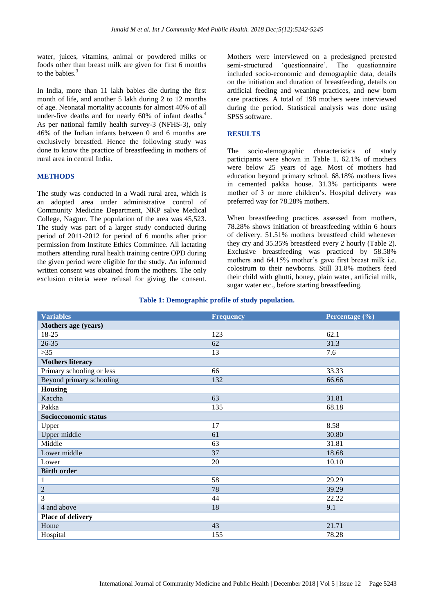water, juices, vitamins, animal or powdered milks or foods other than breast milk are given for first 6 months to the babies.<sup>3</sup>

In India, more than 11 lakh babies die during the first month of life, and another 5 lakh during 2 to 12 months of age. Neonatal mortality accounts for almost 40% of all under-five deaths and for nearly 60% of infant deaths.<sup>4</sup> As per national family health survey-3 (NFHS-3), only 46% of the Indian infants between 0 and 6 months are exclusively breastfed. Hence the following study was done to know the practice of breastfeeding in mothers of rural area in central India.

## **METHODS**

The study was conducted in a Wadi rural area, which is an adopted area under administrative control of Community Medicine Department, NKP salve Medical College, Nagpur. The population of the area was 45,523. The study was part of a larger study conducted during period of 2011-2012 for period of 6 months after prior permission from Institute Ethics Committee. All lactating mothers attending rural health training centre OPD during the given period were eligible for the study. An informed written consent was obtained from the mothers. The only exclusion criteria were refusal for giving the consent.

Mothers were interviewed on a predesigned pretested semi-structured 'questionnaire'. The questionnaire included socio-economic and demographic data, details on the initiation and duration of breastfeeding, details on artificial feeding and weaning practices, and new born care practices. A total of 198 mothers were interviewed during the period. Statistical analysis was done using SPSS software.

#### **RESULTS**

The socio-demographic characteristics of study participants were shown in Table 1. 62.1% of mothers were below 25 years of age. Most of mothers had education beyond primary school. 68.18% mothers lives in cemented pakka house. 31.3% participants were mother of 3 or more children's. Hospital delivery was preferred way for 78.28% mothers.

When breastfeeding practices assessed from mothers, 78.28% shows initiation of breastfeeding within 6 hours of delivery. 51.51% mothers breastfeed child whenever they cry and 35.35% breastfeed every 2 hourly (Table 2). Exclusive breastfeeding was practiced by 58.58% mothers and 64.15% mother's gave first breast milk i.e. colostrum to their newborns. Still 31.8% mothers feed their child with ghutti, honey, plain water, artificial milk, sugar water etc., before starting breastfeeding.

#### **Table 1: Demographic profile of study population.**

| <b>Variables</b>          | <b>Frequency</b> | Percentage (%) |
|---------------------------|------------------|----------------|
| Mothers age (years)       |                  |                |
| 18-25                     | 123              | 62.1           |
| $26 - 35$                 | 62               | 31.3           |
| $>35$                     | 13               | 7.6            |
| <b>Mothers literacy</b>   |                  |                |
| Primary schooling or less | 66               | 33.33          |
| Beyond primary schooling  | 132              | 66.66          |
| <b>Housing</b>            |                  |                |
| Kaccha                    | 63               | 31.81          |
| Pakka                     | 135              | 68.18          |
| Socioeconomic status      |                  |                |
| Upper                     | 17               | 8.58           |
| Upper middle              | 61               | 30.80          |
| Middle                    | 63               | 31.81          |
| Lower middle              | 37               | 18.68          |
| Lower                     | 20               | 10.10          |
| <b>Birth order</b>        |                  |                |
| 1                         | 58               | 29.29          |
| $\overline{2}$            | 78               | 39.29          |
| 3                         | 44               | 22.22          |
| 4 and above               | 18               | 9.1            |
| Place of delivery         |                  |                |
| Home                      | 43               | 21.71          |
| Hospital                  | 155              | 78.28          |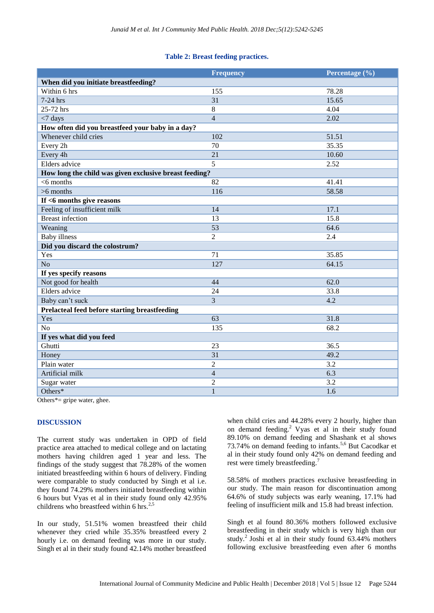## **Table 2: Breast feeding practices.**

|                                                        | <b>Frequency</b> | Percentage (%) |  |
|--------------------------------------------------------|------------------|----------------|--|
| When did you initiate breastfeeding?                   |                  |                |  |
| Within 6 hrs                                           | 155              | 78.28          |  |
| 7-24 hrs                                               | 31               | 15.65          |  |
| $25-72$ hrs                                            | $\overline{8}$   | 4.04           |  |
| $<$ 7 days                                             | $\overline{4}$   | 2.02           |  |
| How often did you breastfeed your baby in a day?       |                  |                |  |
| Whenever child cries                                   | 102              | 51.51          |  |
| Every 2h                                               | 70               | 35.35          |  |
| Every 4h                                               | $\overline{21}$  | 10.60          |  |
| Elders advice                                          | 5                | 2.52           |  |
| How long the child was given exclusive breast feeding? |                  |                |  |
| $<$ 6 months                                           | 82               | 41.41          |  |
| $>6$ months                                            | 116              | 58.58          |  |
| If <6 months give reasons                              |                  |                |  |
| Feeling of insufficient milk                           | 14               | 17.1           |  |
| <b>Breast</b> infection                                | 13               | 15.8           |  |
| Weaning                                                | 53               | 64.6           |  |
| <b>Baby</b> illness                                    | $\overline{2}$   | 2.4            |  |
| Did you discard the colostrum?                         |                  |                |  |
| Yes                                                    | 71               | 35.85          |  |
| N <sub>o</sub>                                         | 127              | 64.15          |  |
| If yes specify reasons                                 |                  |                |  |
| Not good for health                                    | 44               | 62.0           |  |
| Elders advice                                          | $\overline{24}$  | 33.8           |  |
| Baby can't suck                                        | 3                | 4.2            |  |
| Prelacteal feed before starting breastfeeding          |                  |                |  |
| Yes                                                    | 63               | 31.8           |  |
| N <sub>o</sub>                                         | 135              | 68.2           |  |
| If yes what did you feed                               |                  |                |  |
| Ghutti                                                 | 23               | 36.5           |  |
| Honey                                                  | 31               | 49.2           |  |
| Plain water                                            | $\overline{2}$   | 3.2            |  |
| Artificial milk                                        | $\overline{4}$   | 6.3            |  |
| Sugar water                                            | $\overline{c}$   | 3.2            |  |
| Others*                                                | $\mathbf{1}$     | 1.6            |  |

Others\*= gripe water, ghee.

## **DISCUSSION**

The current study was undertaken in OPD of field practice area attached to medical college and on lactating mothers having children aged 1 year and less. The findings of the study suggest that 78.28% of the women initiated breastfeeding within 6 hours of delivery. Finding were comparable to study conducted by Singh et al i.e. they found 74.29% mothers initiated breastfeeding within 6 hours but Vyas et al in their study found only 42.95% childrens who breastfeed within 6 hrs.<sup>2,5</sup>

In our study, 51.51% women breastfeed their child whenever they cried while 35.35% breastfeed every 2 hourly i.e. on demand feeding was more in our study. Singh et al in their study found 42.14% mother breastfeed

when child cries and 44.28% every 2 hourly, higher than on demand feeding.<sup>2</sup> Vyas et al in their study found 89.10% on demand feeding and Shashank et al shows  $73.74\%$  on demand feeding to infants.<sup>5,6</sup> But Cacodkar et al in their study found only 42% on demand feeding and rest were timely breastfeeding.<sup>7</sup>

58.58% of mothers practices exclusive breastfeeding in our study. The main reason for discontinuation among 64.6% of study subjects was early weaning, 17.1% had feeling of insufficient milk and 15.8 had breast infection.

Singh et al found 80.36% mothers followed exclusive breastfeeding in their study which is very high than our study.<sup>2</sup> Joshi et al in their study found  $63.44\%$  mothers following exclusive breastfeeding even after 6 months